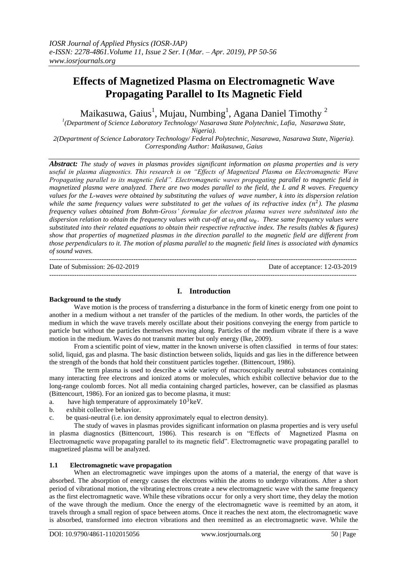# **Effects of Magnetized Plasma on Electromagnetic Wave Propagating Parallel to Its Magnetic Field**

Maikasuwa, Gaius $^{\rm l}$ , Mujau, Numbing $^{\rm l}$ , Agana Daniel Timothy  $^{\rm 2}$ 

*1 (Department of Science Laboratory Technology/ Nasarawa State Polytechnic, Lafia, Nasarawa State,* 

*Nigeria).*

*2(Department of Science Laboratory Technology/ Federal Polytechnic, Nasarawa, Nasarawa State, Nigeria). Corresponding Author: Maikasuwa, Gaius*

*Abstract: The study of waves in plasmas provides significant information on plasma properties and is very useful in plasma diagnostics. This research is on "Effects of Magnetized Plasma on Electromagnetic Wave Propagating parallel to its magnetic field". Electromagnetic waves propagating parallel to magnetic field in magnetized plasma were analyzed. There are two modes parallel to the field, the L and R waves. Frequency values for the L-waves were obtained by substituting the values of wave number, k into its dispersion relation*  while the same frequency values were substituted to get the values of its refractive index  $(n^2)$ . The plasma *frequency values obtained from Bohm-Gross' formulae for electron plasma waves were substituted into the dispersion relation to obtain the frequency values with cut-off at*  $\omega$ *<sub>L</sub>and*  $\omega$ *<sub>R</sub>. These same frequency values were substituted into their related equations to obtain their respective refractive index. The results (tables & figures) show that properties of magnetized plasmas in the direction parallel to the magnetic field are different from those perpendiculars to it. The motion of plasma parallel to the magnetic field lines is associated with dynamics of sound waves.*

| Date of Submission: $26-02-2019$ | Date of acceptance: 12-03-2019 |
|----------------------------------|--------------------------------|
|                                  |                                |

# **I. Introduction**

#### **Background to the study**

Wave motion is the process of transferring a disturbance in the form of kinetic energy from one point to another in a medium without a net transfer of the particles of the medium. In other words, the particles of the medium in which the wave travels merely oscillate about their positions conveying the energy from particle to particle but without the particles themselves moving along. Particles of the medium vibrate if there is a wave motion in the medium. Waves do not transmit matter but only energy (Ike, 2009).

From a scientific point of view, matter in the known universe is often classified in terms of four states: solid, liquid, gas and plasma. The basic distinction between solids, liquids and gas lies in the difference between the strength of the bonds that hold their constituent particles together. (Bittencourt, 1986).

The term plasma is used to describe a wide variety of macroscopically neutral substances containing many interacting free electrons and ionized atoms or molecules, which exhibit collective behavior due to the long-range coulomb forces. Not all media containing charged particles, however, can be classified as plasmas (Bittencourt, 1986). For an ionized gas to become plasma, it must:

- a. have high temperature of approximately  $10^3$  keV.
- b. exhibit collective behavior.
- c. be quasi-neutral (i.e. ion density approximately equal to electron density).

The study of waves in plasmas provides significant information on plasma properties and is very useful in plasma diagnostics (Bittencourt, 1986). This research is on "Effects of Magnetized Plasma on Electromagnetic wave propagating parallel to its magnetic field". Electromagnetic wave propagating parallel to magnetized plasma will be analyzed.

#### **1.1 Electromagnetic wave propagation**

When an electromagnetic wave impinges upon the atoms of a material, the energy of that wave is absorbed. The absorption of energy causes the electrons within the atoms to undergo vibrations. After a short period of vibrational motion, the vibrating electrons create a new electromagnetic wave with the same frequency as the first electromagnetic wave. While these vibrations occur for only a very short time, they delay the motion of the wave through the medium. Once the energy of the electromagnetic wave is reemitted by an atom, it travels through a small region of space between atoms. Once it reaches the next atom, the electromagnetic wave is absorbed, transformed into electron vibrations and then reemitted as an electromagnetic wave. While the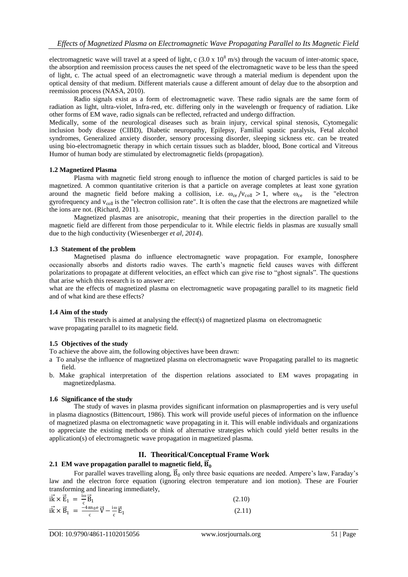electromagnetic wave will travel at a speed of light, c  $(3.0 \times 10^8 \text{ m/s})$  through the vacuum of inter-atomic space, the absorption and reemission process causes the net speed of the electromagnetic wave to be less than the speed of light, c. The actual speed of an electromagnetic wave through a material medium is dependent upon the optical density of that medium. Different materials cause a different amount of delay due to the absorption and reemission process (NASA, 2010).

Radio signals exist as a form of electromagnetic wave. These radio signals are the same form of radiation as light, ultra-violet, Infra-red, etc. differing only in the wavelength or frequency of radiation. Like other forms of EM wave, radio signals can be reflected, refracted and undergo diffraction.

Medically, some of the neurological diseases such as brain injury, cervical spinal stenosis, Cytomegalic inclusion body disease (CIBD), Diabetic neuropathy, Epilepsy, Familial spastic paralysis, Fetal alcohol syndromes, Generalized anxiety disorder, sensory processing disorder, sleeping sickness etc. can be treated using bio-electromagnetic therapy in which certain tissues such as bladder, blood, Bone cortical and Vitreous Humor of human body are stimulated by electromagnetic fields (propagation).

#### **1.2 Magnetized Plasma**

Plasma with magnetic field strong enough to influence the motion of charged particles is said to be magnetized. A common quantitative criterion is that a particle on average completes at least xone gyration around the magnetic field before making a collision, i.e.  $\omega_{ce}/v_{coll} > 1$ , where  $\omega_{ce}$  is the "electron gyrofrequency and  $v_{\text{coll}}$  is the "electron collision rate". It is often the case that the electrons are magnetized while the ions are not. (Richard, 2011).

Magnetized plasmas are anisotropic, meaning that their properties in the direction parallel to the magnetic field are different from those perpendicular to it. While electric fields in plasmas are xusually small due to the high conductivity (Wiesenberger *et al, 2014*).

#### **1.3 Statement of the problem**

Magnetised plasma do influence electromagnetic wave propagation. For example, Ionosphere occasionally absorbs and distorts radio waves. The earth's magnetic field causes waves with different polarizations to propagate at different velocities, an effect which can give rise to "ghost signals". The questions that arise which this research is to answer are:

what are the effects of magnetized plasma on electromagnetic wave propagating parallel to its magnetic field and of what kind are these effects?

#### **1.4 Aim of the study**

This research is aimed at analysing the effect(s) of magnetized plasma on electromagnetic wave propagating parallel to its magnetic field.

#### **1.5 Objectives of the study**

To achieve the above aim, the following objectives have been drawn:

- a To analyse the influence of magnetized plasma on electromagnetic wave Propagating parallel to its magnetic field.
- b. Make graphical interpretation of the dispertion relations associated to EM waves propagating in magnetizedplasma.

#### **1.6 Significance of the study**

The study of waves in plasma provides significant information on plasmaproperties and is very useful in plasma diagnostics (Bittencourt, 1986). This work will provide useful pieces of information on the influence of magnetized plasma on electromagnetic wave propagating in it. This will enable individuals and organizations to appreciate the existing methods or think of alternative strategies which could yield better results in the application(s) of electromagnetic wave propagation in magnetized plasma.

#### **II. Theoritical/Conceptual Frame Work**

## **2.1** EM wave propagation parallel to magnetic field,  $\overrightarrow{\textbf{B}}_{0}$

For parallel waves travelling along,  $\vec{B}_0$  only three basic equations are needed. Ampere's law, Faraday's law and the electron force equation (ignoring electron temperature and ion motion). These are Fourier transforming and linearing immediately,

| $i\vec{k} \times \vec{E}_1 = \frac{i\omega}{c} \vec{B}_1$                                 | (2.10) |
|-------------------------------------------------------------------------------------------|--------|
| $i\vec{k} \times \vec{B}_1 = \frac{-4\pi n_0 e}{c} \vec{V} - \frac{i\omega}{c} \vec{E}_1$ | (2.11) |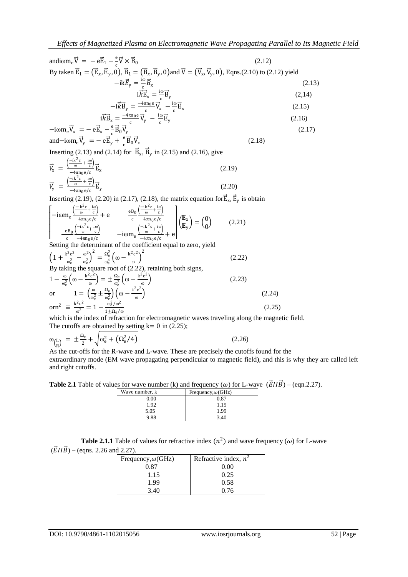andiom<sub>e</sub> 
$$
\vec{V} = -e\vec{E}_1 - \frac{e}{c}\vec{V} \times \vec{B}_0
$$
 (2.12)  
\nBy taken  $\vec{E}_1 = (\vec{E}_x, \vec{E}_y, 0), \vec{B}_1 = (\vec{B}_x, \vec{B}_y, 0)$  and  $\vec{V} = (\vec{V}_x, \vec{V}_y, 0), \text{ Eqns}. (2.10) \text{ to } (2.12) \text{ yield}$   
\n
$$
-ik\vec{E}_y = \frac{i\omega}{c}\vec{B}_x
$$
 (2.13)  
\n
$$
l\vec{k}\vec{E}_x = \frac{i\omega}{c}\vec{B}_y
$$
 (2.14)  
\n
$$
-i\vec{k}\vec{B}_y = \frac{-4\pi n_0 e}{c}\vec{V}_x - \frac{i\omega}{c}\vec{E}_x
$$
 (2.15)  
\n
$$
i\vec{k}\vec{B}_x = \frac{-4\pi n_0 e}{c}\vec{V}_y - \frac{i\omega}{c}\vec{E}_y
$$
 (2.16)  
\n
$$
-i\omega m_e \vec{V}_x = -e\vec{E}_x - \frac{e}{c}\vec{B}_0\vec{V}_y
$$
 (2.17)  
\nand  $-i\omega m_e \vec{V}_y = -e\vec{E}_y + \frac{e}{c}\vec{B}_0\vec{V}_x$ 

Inserting (2.13) and (2.14) for  $\vec{B}_x$ ,  $\vec{B}_y$  in (2.15) and (2.16), give

$$
\vec{V}_{x} = \frac{\left(\frac{-ik^{2}c}{\omega} + \frac{i\omega}{c}\right)}{-4\pi n_{0}e/c} \vec{E}_{x}
$$
\n
$$
\vec{V}_{y} = \frac{\left(\frac{-ik^{2}c}{\omega} + \frac{i\omega}{c}\right)}{-4\pi n_{0}e/c} \vec{E}_{y}
$$
\n(2.20)

Inserting (2.19), (2.20) in (2.17), (2.18), the matrix equation for  $\vec{E}_x$ ,  $\vec{E}_y$  is obtain

$$
\begin{bmatrix}\n-\text{i} \omega \mathbf{m}_e \frac{\left(\frac{-\text{i} \mathbf{k}^2 \mathbf{c}}{\omega} + \frac{\text{i} \omega}{\mathbf{c}}\right)}{-4 \pi \mathbf{n}_0 e/c} + e & \frac{e B_0 \left(\frac{-\text{i} \mathbf{k}^2 \mathbf{c}}{\omega} + \frac{\text{i} \omega}{\mathbf{c}}\right)}{-4 \pi \mathbf{n}_0 e/c} \\
\frac{-e B_0 \left(\frac{-\text{i} \mathbf{k}^2 \mathbf{c}}{\omega} + \frac{\text{i} \omega}{\mathbf{c}}\right)}{-\text{i} \omega \mathbf{m}_e \left(\frac{-\text{i} \mathbf{k}^2 \mathbf{c}}{\omega} + \frac{\text{i} \omega}{\mathbf{c}}\right)} -\text{i} \omega \mathbf{m}_e \frac{\left(\frac{-\text{i} \mathbf{k}^2 \mathbf{c}}{\omega} + \frac{\text{i} \omega}{\mathbf{c}}\right)}{-4 \pi \mathbf{n}_0 e/c} + e \\
\text{Setting the determinant of the coefficient equal to zero, yield}\n\end{bmatrix}\n\begin{pmatrix}\n\mathbf{E}_x \\
\mathbf{E}_y\n\end{pmatrix} = \begin{pmatrix}\n0 \\
0\n\end{pmatrix}
$$
\n(2.21)

Setting the determinant of the coefficient equal to zero, yield

$$
\left(1 + \frac{k^2 c^2}{\omega_e^2} - \frac{\omega^2}{\omega_e^2}\right)^2 = \frac{\Omega_e^2}{\omega_e^4} \left(\omega - \frac{k^2 c^2}{\omega}\right)^2
$$
\nBy taking the square root of (2.22), retaining both signs,

\n
$$
1 - \frac{\omega}{\omega_e^2} \left(\omega - \frac{k^2 c^2}{\omega}\right) = \pm \frac{\Omega_e}{\omega_e^2} \left(\omega - \frac{k^2 c^2}{\omega}\right)
$$
\nor

\n
$$
1 = \left(\frac{\omega}{\omega_e^2} \pm \frac{\Omega_e}{\omega_e^2}\right) \left(\omega - \frac{k^2 c^2}{\omega}\right)
$$
\nor 
$$
1 = \left(\frac{\omega}{\omega_e^2} \pm \frac{\Omega_e}{\omega_e^2}\right) \left(\omega - \frac{k^2 c^2}{\omega}\right)
$$

\nor 
$$
1 = \frac{k^2 c^2}{\omega^2} = 1 - \frac{\omega_e^2 / \omega^2}{1 \pm \Omega_e / \omega}
$$

\n(2.23)

which is the index of refraction for electromagnetic waves traveling along the magnetic field.  
The cutoffs are obtained by setting 
$$
k = 0
$$
 in (2.25);

$$
\omega_{\binom{L}{R}} = \pm \frac{\Omega_e}{2} + \sqrt{\omega_e^2 + (\Omega_e^2/4)}
$$
\n(2.26)

 $R$  As the cut-offs for the R-wave and L-wave. These are precisely the cutoffs found for the extraordinary mode (EM wave propagating perpendicular to magnetic field), and this is why they are called left and right cutoffs.

**Table 2.1** Table of values for wave number (k) and frequency ( $\omega$ ) for L-wave  $(\vec{E} \Pi \vec{B})$  – (eqn.2.27).

| Wave number, k | Frequency, $\omega$ (GHz) |
|----------------|---------------------------|
| 0.00           | 0.87                      |
| 1.92           | 1.15                      |
| 5.05           | 1.99                      |
| 9.88           | 3.40                      |

**Table 2.1.1** Table of values for refractive index  $(n^2)$  and wave frequency ( $\omega$ ) for L-wave

(
$$
\vec{E}
$$
 *II*  $\vec{B}$ ) – (eqns. 2.26 and 2.27).

| Frequency, $\omega$ (GHz) | Refractive index, $n^2$ |
|---------------------------|-------------------------|
| 0.87                      | 0.00                    |
| 1.15                      | 0.25                    |
| 1.99                      | 0.58                    |
| 3.40                      | 0.76                    |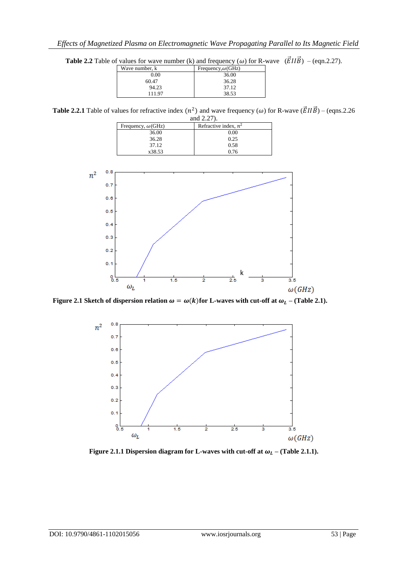**Table 2.2** Table of values for wave number (k) and frequency ( $\omega$ ) for R-wave  $(\vec{E} \Pi \vec{B})$  – (eqn.2.27).

| Wave number, k | Frequency, $\omega$ (GHz) |
|----------------|---------------------------|
| 0.00           | 36.00                     |
| 60.47          | 36.28                     |
| 94.23          | 37.12                     |
| 111.97         | 38.53                     |
|                |                           |

**Table 2.2.1** Table of values for refractive index  $(n^2)$  and wave frequency  $(\omega)$  for R-wave  $(\vec{E} \Pi \vec{B})$  – (eqns.2.26) ,<br>id 2.27).

| and $2.21$ .              |                         |
|---------------------------|-------------------------|
| Frequency, $\omega$ (GHz) | Refractive index, $n^2$ |
| 36.00                     | $0.00\,$                |
| 36.28                     | 0.25                    |
| 37.12                     | 0.58                    |
| x38.53                    | በ 76                    |



 **Figure 2.1 Sketch of dispersion relation**  $\omega = \omega(k)$  **for L-waves with cut-off at**  $\omega_L$  **– (Table 2.1).** 



**Figure 2.1.1 Dispersion diagram for L-waves with cut-off at**  $\omega_L$  **– (Table 2.1.1).**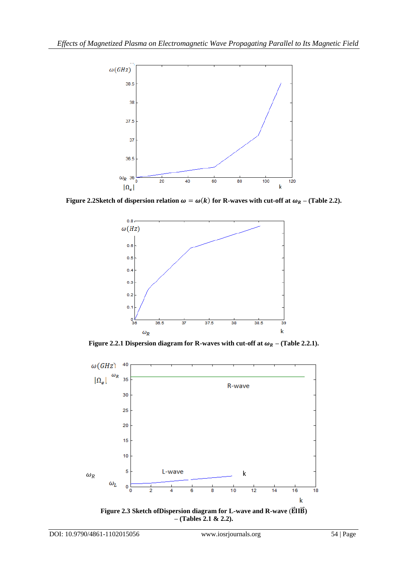

**Figure 2.2Sketch of dispersion relation**  $\omega = \omega(k)$  **for R-waves with cut-off at**  $\omega_R$  **– (Table 2.2).** 



**Figure 2.2.1 Dispersion diagram for R-waves with cut-off at**  $\omega_R$  **– (Table 2.2.1).** 



**– (Tables 2.1 & 2.2).**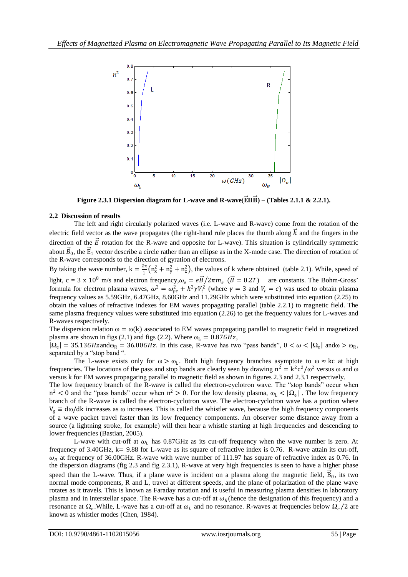

**Figure 2.3.1 Dispersion diagram for L-wave and R-wave(** $\vec{E}$ **II** $\vec{B}$ **)** – (Tables 2.1.1 & 2.2.1).

### **2.2 Discussion of results**

The left and right circularly polarized waves (i.e. L-wave and R-wave) come from the rotation of the electric field vector as the wave propagates (the right-hand rule places the thumb along  $\vec{k}$  and the fingers in the direction of the  $\vec{E}$  rotation for the R-wave and opposite for L-wave). This situation is cylindrically symmetric about  $\vec{B}_0$ , the  $\vec{E}_1$  vector describe a circle rather than an ellipse as in the X-mode case. The direction of rotation of the R-wave corresponds to the direction of gyration of electrons.

By taking the wave number,  $k = \frac{2\pi}{l}$  $\frac{1}{2}$  (n<sub>x</sub><sup>2</sup> + n<sub>y</sub><sup>2</sup> + n<sub>z</sub><sup>2</sup>), the values of k where obtained (table 2.1). While, speed of light, c = 3 x 10<sup>8</sup> m/s and electron frequency,  $\omega_e = e\vec{B}/2\pi m_e$  ( $\vec{B} = 0.2T$ ) are constants. The Bohm-Gross' formula for electron plasma waves,  $\omega^2 = \omega_{pe}^2 + k^2 \gamma V_t^2$  (where  $\gamma = 3$  and  $V_t = c$ ) was used to obtain plasma frequency values as 5.59GHz, 6.47GHz, 8.60GHz and 11.29GHz which were substituted into equation (2.25) to obtain the values of refractive indexes for EM waves propagating parallel (table 2.2.1) to magnetic field. The same plasma frequency values were substituted into equation (2.26) to get the frequency values for L-waves and R-waves respectively.

The dispersion relation  $\omega = \omega(k)$  associated to EM waves propagating parallel to magnetic field in magnetized plasma are shown in figs (2.1) and figs (2.2). Where  $\omega_L = 0.87$  GHz,

 $|\Omega_e| = 35.13$  GHz and  $\omega_R = 36.00$  GHz. In this case, R-wave has two "pass bands",  $0 < \omega < |\Omega_e|$  and  $\omega > \omega_R$ , separated by a "stop band ".

The L-wave exists only for  $\omega > \omega_L$ . Both high frequency branches asymptote to  $\omega \approx kc$  at high frequencies. The locations of the pass and stop bands are clearly seen by drawing  $n^2 = k^2 c^2/\omega^2$  versus  $\omega$  and  $\omega$ versus k for EM waves propagating parallel to magnetic field as shown in figures 2.3 and 2.3.1 respectively.

The low frequency branch of the R-wave is called the electron-cyclotron wave. The "stop bands" occur when  $n^2$  < 0 and the "pass bands" occur when  $n^2 > 0$ . For the low density plasma,  $\omega_L < |\Omega_e|$ . The low frequency branch of the R-wave is called the electron-cyclotron wave. The electron-cyclotron wave has a portion where  $V_g \equiv d\omega/dk$  increases as  $\omega$  increases. This is called the whistler wave, because the high frequency components of a wave packet travel faster than its low frequency components. An observer some distance away from a source (a lightning stroke, for example) will then hear a whistle starting at high frequencies and descending to lower frequencies (Bastian, 2005).

L-wave with cut-off at  $\omega_L$  has 0.87GHz as its cut-off frequency when the wave number is zero. At frequency of 3.40GHz, k= 9.88 for L-wave as its square of refractive index is 0.76. R-wave attain its cut-off,  $\omega_R$  at frequency of 36.00GHz. R-wave with wave number of 111.97 has square of refractive index as 0.76. In the dispersion diagrams (fig 2.3 and fig 2.3.1), R-wave at very high frequencies is seen to have a higher phase speed than the L-wave. Thus, if a plane wave is incident on a plasma along the magnetic field,  $\vec{B}_0$ , its two normal mode components, R and L, travel at different speeds, and the plane of polarization of the plane wave rotates as it travels. This is known as Faraday rotation and is useful in measuring plasma densities in laboratory plasma and in interstellar space. The R-wave has a cut-off at  $\omega_R$  (hence the designation of this frequency) and a resonance at  $\Omega_e$ . While, L-wave has a cut-off at  $\omega_L$  and no resonance. R-waves at frequencies below  $\Omega_e/2$  are known as whistler modes (Chen, 1984).